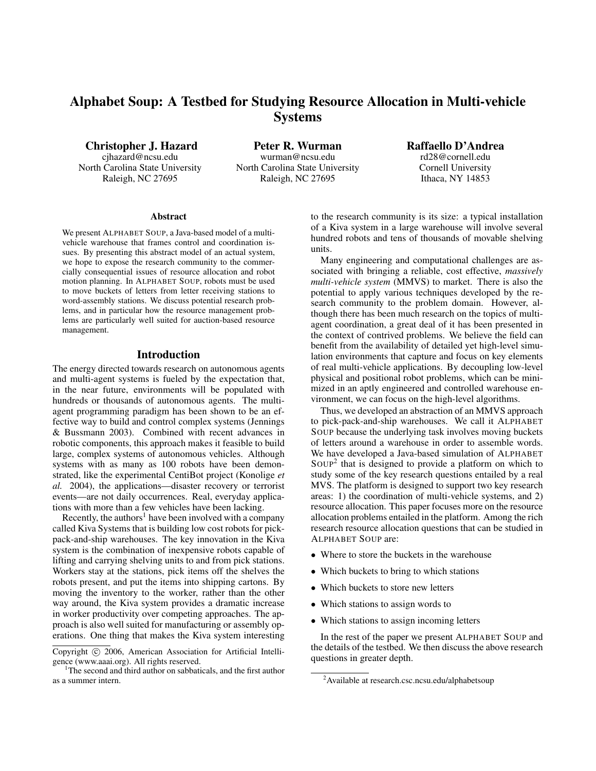# Alphabet Soup: A Testbed for Studying Resource Allocation in Multi-vehicle Systems

Christopher J. Hazard

cjhazard@ncsu.edu North Carolina State University Raleigh, NC 27695

Peter R. Wurman wurman@ncsu.edu North Carolina State University Raleigh, NC 27695

Raffaello D'Andrea rd28@cornell.edu Cornell University Ithaca, NY 14853

#### Abstract

We present ALPHABET SOUP, a Java-based model of a multivehicle warehouse that frames control and coordination issues. By presenting this abstract model of an actual system, we hope to expose the research community to the commercially consequential issues of resource allocation and robot motion planning. In ALPHABET SOUP, robots must be used to move buckets of letters from letter receiving stations to word-assembly stations. We discuss potential research problems, and in particular how the resource management problems are particularly well suited for auction-based resource management.

## Introduction

The energy directed towards research on autonomous agents and multi-agent systems is fueled by the expectation that, in the near future, environments will be populated with hundreds or thousands of autonomous agents. The multiagent programming paradigm has been shown to be an effective way to build and control complex systems (Jennings & Bussmann 2003). Combined with recent advances in robotic components, this approach makes it feasible to build large, complex systems of autonomous vehicles. Although systems with as many as 100 robots have been demonstrated, like the experimental CentiBot project (Konolige *et al.* 2004), the applications—disaster recovery or terrorist events—are not daily occurrences. Real, everyday applications with more than a few vehicles have been lacking.

Recently, the authors<sup>1</sup> have been involved with a company called Kiva Systems that is building low cost robots for pickpack-and-ship warehouses. The key innovation in the Kiva system is the combination of inexpensive robots capable of lifting and carrying shelving units to and from pick stations. Workers stay at the stations, pick items off the shelves the robots present, and put the items into shipping cartons. By moving the inventory to the worker, rather than the other way around, the Kiva system provides a dramatic increase in worker productivity over competing approaches. The approach is also well suited for manufacturing or assembly operations. One thing that makes the Kiva system interesting to the research community is its size: a typical installation of a Kiva system in a large warehouse will involve several hundred robots and tens of thousands of movable shelving units.

Many engineering and computational challenges are associated with bringing a reliable, cost effective, *massively multi-vehicle system* (MMVS) to market. There is also the potential to apply various techniques developed by the research community to the problem domain. However, although there has been much research on the topics of multiagent coordination, a great deal of it has been presented in the context of contrived problems. We believe the field can benefit from the availability of detailed yet high-level simulation environments that capture and focus on key elements of real multi-vehicle applications. By decoupling low-level physical and positional robot problems, which can be minimized in an aptly engineered and controlled warehouse environment, we can focus on the high-level algorithms.

Thus, we developed an abstraction of an MMVS approach to pick-pack-and-ship warehouses. We call it ALPHABET SOUP because the underlying task involves moving buckets of letters around a warehouse in order to assemble words. We have developed a Java-based simulation of ALPHABET SOUP<sup>2</sup> that is designed to provide a platform on which to study some of the key research questions entailed by a real MVS. The platform is designed to support two key research areas: 1) the coordination of multi-vehicle systems, and 2) resource allocation. This paper focuses more on the resource allocation problems entailed in the platform. Among the rich research resource allocation questions that can be studied in ALPHABET SOUP are:

- Where to store the buckets in the warehouse
- Which buckets to bring to which stations
- Which buckets to store new letters
- Which stations to assign words to
- Which stations to assign incoming letters

In the rest of the paper we present ALPHABET SOUP and the details of the testbed. We then discuss the above research questions in greater depth.

Copyright © 2006, American Association for Artificial Intelligence (www.aaai.org). All rights reserved.

<sup>&</sup>lt;sup>1</sup>The second and third author on sabbaticals, and the first author as a summer intern.

<sup>2</sup>Available at research.csc.ncsu.edu/alphabetsoup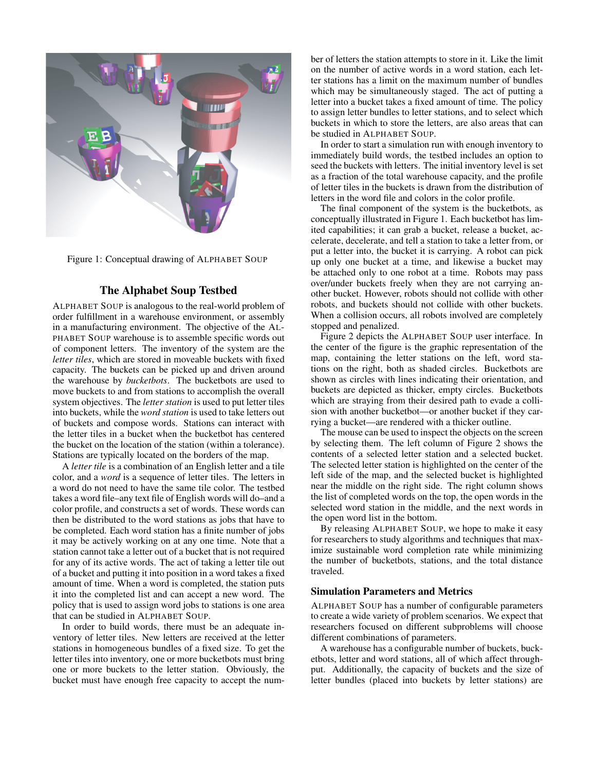

Figure 1: Conceptual drawing of ALPHABET SOUP

## The Alphabet Soup Testbed

ALPHABET SOUP is analogous to the real-world problem of order fulfillment in a warehouse environment, or assembly in a manufacturing environment. The objective of the AL-PHABET SOUP warehouse is to assemble specific words out of component letters. The inventory of the system are the *letter tiles*, which are stored in moveable buckets with fixed capacity. The buckets can be picked up and driven around the warehouse by *bucketbots*. The bucketbots are used to move buckets to and from stations to accomplish the overall system objectives. The *letter station* is used to put letter tiles into buckets, while the *word station* is used to take letters out of buckets and compose words. Stations can interact with the letter tiles in a bucket when the bucketbot has centered the bucket on the location of the station (within a tolerance). Stations are typically located on the borders of the map.

A *letter tile* is a combination of an English letter and a tile color, and a *word* is a sequence of letter tiles. The letters in a word do not need to have the same tile color. The testbed takes a word file–any text file of English words will do–and a color profile, and constructs a set of words. These words can then be distributed to the word stations as jobs that have to be completed. Each word station has a finite number of jobs it may be actively working on at any one time. Note that a station cannot take a letter out of a bucket that is not required for any of its active words. The act of taking a letter tile out of a bucket and putting it into position in a word takes a fixed amount of time. When a word is completed, the station puts it into the completed list and can accept a new word. The policy that is used to assign word jobs to stations is one area that can be studied in ALPHABET SOUP.

In order to build words, there must be an adequate inventory of letter tiles. New letters are received at the letter stations in homogeneous bundles of a fixed size. To get the letter tiles into inventory, one or more bucketbots must bring one or more buckets to the letter station. Obviously, the bucket must have enough free capacity to accept the number of letters the station attempts to store in it. Like the limit on the number of active words in a word station, each letter stations has a limit on the maximum number of bundles which may be simultaneously staged. The act of putting a letter into a bucket takes a fixed amount of time. The policy to assign letter bundles to letter stations, and to select which buckets in which to store the letters, are also areas that can be studied in ALPHABET SOUP.

In order to start a simulation run with enough inventory to immediately build words, the testbed includes an option to seed the buckets with letters. The initial inventory level is set as a fraction of the total warehouse capacity, and the profile of letter tiles in the buckets is drawn from the distribution of letters in the word file and colors in the color profile.

The final component of the system is the bucketbots, as conceptually illustrated in Figure 1. Each bucketbot has limited capabilities; it can grab a bucket, release a bucket, accelerate, decelerate, and tell a station to take a letter from, or put a letter into, the bucket it is carrying. A robot can pick up only one bucket at a time, and likewise a bucket may be attached only to one robot at a time. Robots may pass over/under buckets freely when they are not carrying another bucket. However, robots should not collide with other robots, and buckets should not collide with other buckets. When a collision occurs, all robots involved are completely stopped and penalized.

Figure 2 depicts the ALPHABET SOUP user interface. In the center of the figure is the graphic representation of the map, containing the letter stations on the left, word stations on the right, both as shaded circles. Bucketbots are shown as circles with lines indicating their orientation, and buckets are depicted as thicker, empty circles. Bucketbots which are straying from their desired path to evade a collision with another bucketbot—or another bucket if they carrying a bucket—are rendered with a thicker outline.

The mouse can be used to inspect the objects on the screen by selecting them. The left column of Figure 2 shows the contents of a selected letter station and a selected bucket. The selected letter station is highlighted on the center of the left side of the map, and the selected bucket is highlighted near the middle on the right side. The right column shows the list of completed words on the top, the open words in the selected word station in the middle, and the next words in the open word list in the bottom.

By releasing ALPHABET SOUP, we hope to make it easy for researchers to study algorithms and techniques that maximize sustainable word completion rate while minimizing the number of bucketbots, stations, and the total distance traveled.

## Simulation Parameters and Metrics

ALPHABET SOUP has a number of configurable parameters to create a wide variety of problem scenarios. We expect that researchers focused on different subproblems will choose different combinations of parameters.

A warehouse has a configurable number of buckets, bucketbots, letter and word stations, all of which affect throughput. Additionally, the capacity of buckets and the size of letter bundles (placed into buckets by letter stations) are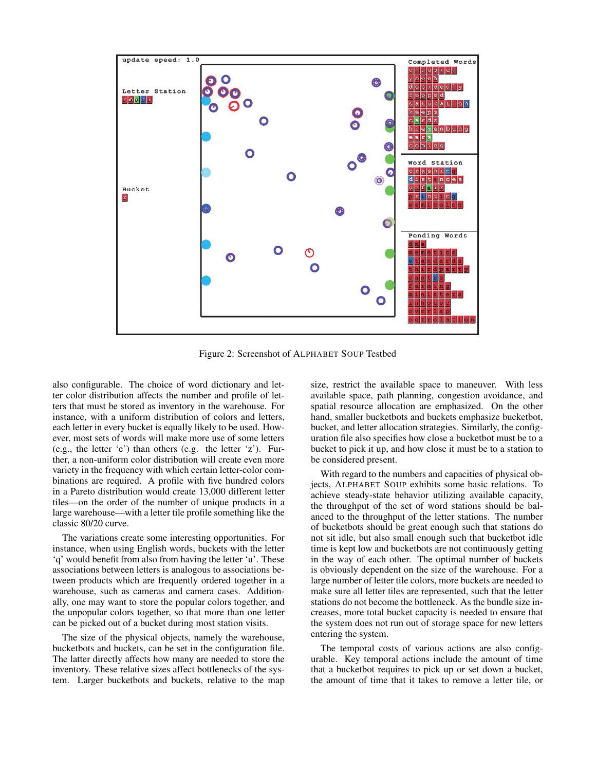

Figure 2: Screenshot of ALPHABET SOUP Testbed

also configurable. The choice of word dictionary and letter color distribution affects the number and profile of letters that must be stored as inventory in the warehouse. For instance, with a uniform distribution of colors and letters, each letter in every bucket is equally likely to be used. However, most sets of words will make more use of some letters (e.g., the letter 'e') than others (e.g. the letter 'z'). Further, a non-uniform color distribution will create even more variety in the frequency with which certain letter-color combinations are required. A profile with five hundred colors in a Pareto distribution would create 13,000 different letter tiles—on the order of the number of unique products in a large warehouse—with a letter tile profile something like the classic 80/20 curve.

The variations create some interesting opportunities. For instance, when using English words, buckets with the letter 'q' would benefit from also from having the letter 'u'. These associations between letters is analogous to associations between products which are frequently ordered together in a warehouse, such as cameras and camera cases. Additionally, one may want to store the popular colors together, and the unpopular colors together, so that more than one letter can be picked out of a bucket during most station visits.

The size of the physical objects, namely the warehouse, bucketbots and buckets, can be set in the configuration file. The latter directly affects how many are needed to store the inventory. These relative sizes affect bottlenecks of the system. Larger bucketbots and buckets, relative to the map

size, restrict the available space to maneuver. With less available space, path planning, congestion avoidance, and spatial resource allocation are emphasized. On the other hand, smaller bucketbots and buckets emphasize bucketbot, bucket, and letter allocation strategies. Similarly, the configuration file also specifies how close a bucketbot must be to a bucket to pick it up, and how close it must be to a station to be considered present.

With regard to the numbers and capacities of physical objects, ALPHABET SOUP exhibits some basic relations. To achieve steady-state behavior utilizing available capacity, the throughput of the set of word stations should be balanced to the throughput of the letter stations. The number of bucketbots should be great enough such that stations do not sit idle, but also small enough such that bucketbot idle time is kept low and bucketbots are not continuously getting in the way of each other. The optimal number of buckets is obviously dependent on the size of the warehouse. For a large number of letter tile colors, more buckets are needed to make sure all letter tiles are represented, such that the letter stations do not become the bottleneck. As the bundle size increases, more total bucket capacity is needed to ensure that the system does not run out of storage space for new letters entering the system.

The temporal costs of various actions are also configurable. Key temporal actions include the amount of time that a bucketbot requires to pick up or set down a bucket, the amount of time that it takes to remove a letter tile, or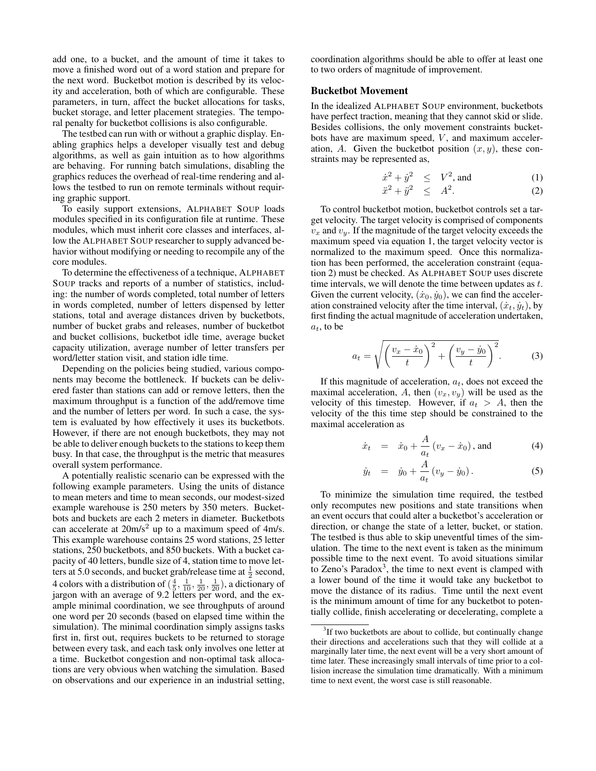add one, to a bucket, and the amount of time it takes to move a finished word out of a word station and prepare for the next word. Bucketbot motion is described by its velocity and acceleration, both of which are configurable. These parameters, in turn, affect the bucket allocations for tasks, bucket storage, and letter placement strategies. The temporal penalty for bucketbot collisions is also configurable.

The testbed can run with or without a graphic display. Enabling graphics helps a developer visually test and debug algorithms, as well as gain intuition as to how algorithms are behaving. For running batch simulations, disabling the graphics reduces the overhead of real-time rendering and allows the testbed to run on remote terminals without requiring graphic support.

To easily support extensions, ALPHABET SOUP loads modules specified in its configuration file at runtime. These modules, which must inherit core classes and interfaces, allow the ALPHABET SOUP researcher to supply advanced behavior without modifying or needing to recompile any of the core modules.

To determine the effectiveness of a technique, ALPHABET SOUP tracks and reports of a number of statistics, including: the number of words completed, total number of letters in words completed, number of letters dispensed by letter stations, total and average distances driven by bucketbots, number of bucket grabs and releases, number of bucketbot and bucket collisions, bucketbot idle time, average bucket capacity utilization, average number of letter transfers per word/letter station visit, and station idle time.

Depending on the policies being studied, various components may become the bottleneck. If buckets can be delivered faster than stations can add or remove letters, then the maximum throughput is a function of the add/remove time and the number of letters per word. In such a case, the system is evaluated by how effectively it uses its bucketbots. However, if there are not enough bucketbots, they may not be able to deliver enough buckets to the stations to keep them busy. In that case, the throughput is the metric that measures overall system performance.

A potentially realistic scenario can be expressed with the following example parameters. Using the units of distance to mean meters and time to mean seconds, our modest-sized example warehouse is 250 meters by 350 meters. Bucketbots and buckets are each 2 meters in diameter. Bucketbots can accelerate at  $20m/s^2$  up to a maximum speed of 4m/s. This example warehouse contains 25 word stations, 25 letter stations, 250 bucketbots, and 850 buckets. With a bucket capacity of 40 letters, bundle size of 4, station time to move letters at 5.0 seconds, and bucket grab/release time at  $\frac{1}{2}$  second, 4 colors with a distribution of  $(\frac{4}{5}, \frac{1}{10}, \frac{1}{20}, \frac{1}{20})$ , a dictionary of jargon with an average of 9.2 letters per word, and the example minimal coordination, we see throughputs of around one word per 20 seconds (based on elapsed time within the simulation). The minimal coordination simply assigns tasks first in, first out, requires buckets to be returned to storage between every task, and each task only involves one letter at a time. Bucketbot congestion and non-optimal task allocations are very obvious when watching the simulation. Based on observations and our experience in an industrial setting,

coordination algorithms should be able to offer at least one to two orders of magnitude of improvement.

# Bucketbot Movement

In the idealized ALPHABET SOUP environment, bucketbots have perfect traction, meaning that they cannot skid or slide. Besides collisions, the only movement constraints bucketbots have are maximum speed,  $V$ , and maximum acceleration, A. Given the bucketbot position  $(x, y)$ , these constraints may be represented as,

$$
\dot{x}^2 + \dot{y}^2 \le V^2, \text{ and } \tag{1}
$$

$$
\ddot{x}^2 + \ddot{y}^2 \le A^2. \tag{2}
$$

To control bucketbot motion, bucketbot controls set a target velocity. The target velocity is comprised of components  $v_x$  and  $v_y$ . If the magnitude of the target velocity exceeds the maximum speed via equation 1, the target velocity vector is normalized to the maximum speed. Once this normalization has been performed, the acceleration constraint (equation 2) must be checked. As ALPHABET SOUP uses discrete time intervals, we will denote the time between updates as t. Given the current velocity,  $(\dot{x}_0, \dot{y}_0)$ , we can find the acceleration constrained velocity after the time interval,  $(\dot{x}_t, \dot{y}_t)$ , by first finding the actual magnitude of acceleration undertaken,  $a_t$ , to be

$$
a_t = \sqrt{\left(\frac{v_x - \dot{x}_0}{t}\right)^2 + \left(\frac{v_y - \dot{y}_0}{t}\right)^2}.
$$
 (3)

If this magnitude of acceleration,  $a_t$ , does not exceed the maximal acceleration, A, then  $(v_x, v_y)$  will be used as the velocity of this timestep. However, if  $a_t > A$ , then the velocity of the this time step should be constrained to the maximal acceleration as

$$
\dot{x}_t = \dot{x}_0 + \frac{A}{a_t} (v_x - \dot{x}_0), \text{ and}
$$
\n(4)

$$
\dot{y}_t = \dot{y}_0 + \frac{A}{a_t} (v_y - \dot{y}_0).
$$
 (5)

To minimize the simulation time required, the testbed only recomputes new positions and state transitions when an event occurs that could alter a bucketbot's acceleration or direction, or change the state of a letter, bucket, or station. The testbed is thus able to skip uneventful times of the simulation. The time to the next event is taken as the minimum possible time to the next event. To avoid situations similar to Zeno's Paradox<sup>3</sup>, the time to next event is clamped with a lower bound of the time it would take any bucketbot to move the distance of its radius. Time until the next event is the minimum amount of time for any bucketbot to potentially collide, finish accelerating or decelerating, complete a

<sup>&</sup>lt;sup>3</sup>If two bucketbots are about to collide, but continually change their directions and accelerations such that they will collide at a marginally later time, the next event will be a very short amount of time later. These increasingly small intervals of time prior to a collision increase the simulation time dramatically. With a minimum time to next event, the worst case is still reasonable.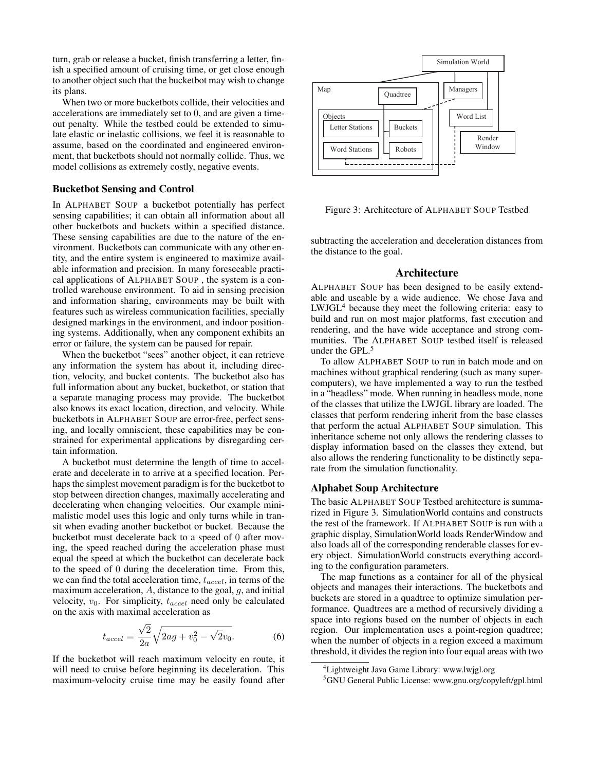turn, grab or release a bucket, finish transferring a letter, finish a specified amount of cruising time, or get close enough to another object such that the bucketbot may wish to change its plans.

When two or more bucketbots collide, their velocities and accelerations are immediately set to 0, and are given a timeout penalty. While the testbed could be extended to simulate elastic or inelastic collisions, we feel it is reasonable to assume, based on the coordinated and engineered environment, that bucketbots should not normally collide. Thus, we model collisions as extremely costly, negative events.

#### Bucketbot Sensing and Control

In ALPHABET SOUP a bucketbot potentially has perfect sensing capabilities; it can obtain all information about all other bucketbots and buckets within a specified distance. These sensing capabilities are due to the nature of the environment. Bucketbots can communicate with any other entity, and the entire system is engineered to maximize available information and precision. In many foreseeable practical applications of ALPHABET SOUP , the system is a controlled warehouse environment. To aid in sensing precision and information sharing, environments may be built with features such as wireless communication facilities, specially designed markings in the environment, and indoor positioning systems. Additionally, when any component exhibits an error or failure, the system can be paused for repair.

When the bucketbot "sees" another object, it can retrieve any information the system has about it, including direction, velocity, and bucket contents. The bucketbot also has full information about any bucket, bucketbot, or station that a separate managing process may provide. The bucketbot also knows its exact location, direction, and velocity. While bucketbots in ALPHABET SOUP are error-free, perfect sensing, and locally omniscient, these capabilities may be constrained for experimental applications by disregarding certain information.

A bucketbot must determine the length of time to accelerate and decelerate in to arrive at a specified location. Perhaps the simplest movement paradigm is for the bucketbot to stop between direction changes, maximally accelerating and decelerating when changing velocities. Our example minimalistic model uses this logic and only turns while in transit when evading another bucketbot or bucket. Because the bucketbot must decelerate back to a speed of 0 after moving, the speed reached during the acceleration phase must equal the speed at which the bucketbot can decelerate back to the speed of 0 during the deceleration time. From this, we can find the total acceleration time,  $t_{accel}$ , in terms of the maximum acceleration,  $A$ , distance to the goal,  $g$ , and initial velocity,  $v_0$ . For simplicity,  $t_{accel}$  need only be calculated on the axis with maximal acceleration as

$$
t_{accel} = \frac{\sqrt{2}}{2a} \sqrt{2ag + v_0^2 - \sqrt{2}v_0}.
$$
 (6)

If the bucketbot will reach maximum velocity en route, it will need to cruise before beginning its deceleration. This maximum-velocity cruise time may be easily found after



Figure 3: Architecture of ALPHABET SOUP Testbed

subtracting the acceleration and deceleration distances from the distance to the goal.

## Architecture

ALPHABET SOUP has been designed to be easily extendable and useable by a wide audience. We chose Java and LWJGL<sup>4</sup> because they meet the following criteria: easy to build and run on most major platforms, fast execution and rendering, and the have wide acceptance and strong communities. The ALPHABET SOUP testbed itself is released under the GPL.<sup>5</sup>

To allow ALPHABET SOUP to run in batch mode and on machines without graphical rendering (such as many supercomputers), we have implemented a way to run the testbed in a "headless" mode. When running in headless mode, none of the classes that utilize the LWJGL library are loaded. The classes that perform rendering inherit from the base classes that perform the actual ALPHABET SOUP simulation. This inheritance scheme not only allows the rendering classes to display information based on the classes they extend, but also allows the rendering functionality to be distinctly separate from the simulation functionality.

## Alphabet Soup Architecture

The basic ALPHABET SOUP Testbed architecture is summarized in Figure 3. SimulationWorld contains and constructs the rest of the framework. If ALPHABET SOUP is run with a graphic display, SimulationWorld loads RenderWindow and also loads all of the corresponding renderable classes for every object. SimulationWorld constructs everything according to the configuration parameters.

The map functions as a container for all of the physical objects and manages their interactions. The bucketbots and buckets are stored in a quadtree to optimize simulation performance. Quadtrees are a method of recursively dividing a space into regions based on the number of objects in each region. Our implementation uses a point-region quadtree; when the number of objects in a region exceed a maximum threshold, it divides the region into four equal areas with two

<sup>4</sup>Lightweight Java Game Library: www.lwjgl.org

<sup>&</sup>lt;sup>5</sup>GNU General Public License: www.gnu.org/copyleft/gpl.html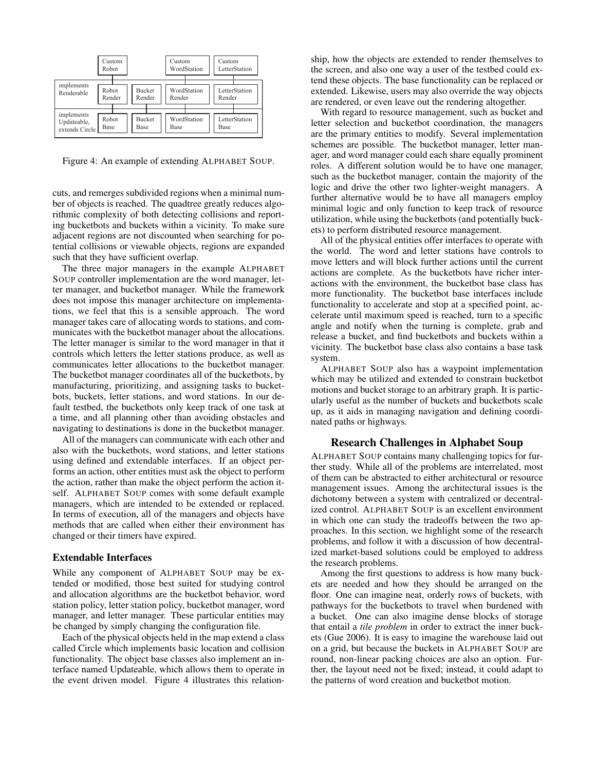|                                             | Custom<br>Robot |                         | Custom<br>WordStation | Custom<br>LetterStation |
|---------------------------------------------|-----------------|-------------------------|-----------------------|-------------------------|
| implements<br>Renderable                    | Robot<br>Render | <b>Bucket</b><br>Render | WordStation<br>Render | LetterStation<br>Render |
| implements<br>Updateable,<br>extends Circle | Robot<br>Base   | <b>Bucket</b><br>Base   | WordStation<br>Base   | LetterStation<br>Base   |

Figure 4: An example of extending ALPHABET SOUP.

cuts, and remerges subdivided regions when a minimal number of objects is reached. The quadtree greatly reduces algorithmic complexity of both detecting collisions and reporting bucketbots and buckets within a vicinity. To make sure adjacent regions are not discounted when searching for potential collisions or viewable objects, regions are expanded such that they have sufficient overlap.

The three major managers in the example ALPHABET SOUP controller implementation are the word manager, letter manager, and bucketbot manager. While the framework does not impose this manager architecture on implementations, we feel that this is a sensible approach. The word manager takes care of allocating words to stations, and communicates with the bucketbot manager about the allocations. The letter manager is similar to the word manager in that it controls which letters the letter stations produce, as well as communicates letter allocations to the bucketbot manager. The bucketbot manager coordinates all of the bucketbots, by manufacturing, prioritizing, and assigning tasks to bucketbots, buckets, letter stations, and word stations. In our default testbed, the bucketbots only keep track of one task at a time, and all planning other than avoiding obstacles and navigating to destinations is done in the bucketbot manager.

All of the managers can communicate with each other and also with the bucketbots, word stations, and letter stations using defined and extendable interfaces. If an object performs an action, other entities must ask the object to perform the action, rather than make the object perform the action itself. ALPHABET SOUP comes with some default example managers, which are intended to be extended or replaced. In terms of execution, all of the managers and objects have methods that are called when either their environment has changed or their timers have expired.

#### Extendable Interfaces

While any component of ALPHABET SOUP may be extended or modified, those best suited for studying control and allocation algorithms are the bucketbot behavior, word station policy, letter station policy, bucketbot manager, word manager, and letter manager. These particular entities may be changed by simply changing the configuration file.

Each of the physical objects held in the map extend a class called Circle which implements basic location and collision functionality. The object base classes also implement an interface named Updateable, which allows them to operate in the event driven model. Figure 4 illustrates this relation-

ship, how the objects are extended to render themselves to the screen, and also one way a user of the testbed could extend these objects. The base functionality can be replaced or extended. Likewise, users may also override the way objects are rendered, or even leave out the rendering altogether.

With regard to resource management, such as bucket and letter selection and bucketbot coordination, the managers are the primary entities to modify. Several implementation schemes are possible. The bucketbot manager, letter manager, and word manager could each share equally prominent roles. A different solution would be to have one manager, such as the bucketbot manager, contain the majority of the logic and drive the other two lighter-weight managers. A further alternative would be to have all managers employ minimal logic and only function to keep track of resource utilization, while using the bucketbots (and potentially buckets) to perform distributed resource management.

All of the physical entities offer interfaces to operate with the world. The word and letter stations have controls to move letters and will block further actions until the current actions are complete. As the bucketbots have richer interactions with the environment, the bucketbot base class has more functionality. The bucketbot base interfaces include functionality to accelerate and stop at a specified point, accelerate until maximum speed is reached, turn to a specific angle and notify when the turning is complete, grab and release a bucket, and find bucketbots and buckets within a vicinity. The bucketbot base class also contains a base task system.

ALPHABET SOUP also has a waypoint implementation which may be utilized and extended to constrain bucketbot motions and bucket storage to an arbitrary graph. It is particularly useful as the number of buckets and bucketbots scale up, as it aids in managing navigation and defining coordinated paths or highways.

## Research Challenges in Alphabet Soup

ALPHABET SOUP contains many challenging topics for further study. While all of the problems are interrelated, most of them can be abstracted to either architectural or resource management issues. Among the architectural issues is the dichotomy between a system with centralized or decentralized control. ALPHABET SOUP is an excellent environment in which one can study the tradeoffs between the two approaches. In this section, we highlight some of the research problems, and follow it with a discussion of how decentralized market-based solutions could be employed to address the research problems.

Among the first questions to address is how many buckets are needed and how they should be arranged on the floor. One can imagine neat, orderly rows of buckets, with pathways for the bucketbots to travel when burdened with a bucket. One can also imagine dense blocks of storage that entail a *tile problem* in order to extract the inner buckets (Gue 2006). It is easy to imagine the warehouse laid out on a grid, but because the buckets in ALPHABET SOUP are round, non-linear packing choices are also an option. Further, the layout need not be fixed; instead, it could adapt to the patterns of word creation and bucketbot motion.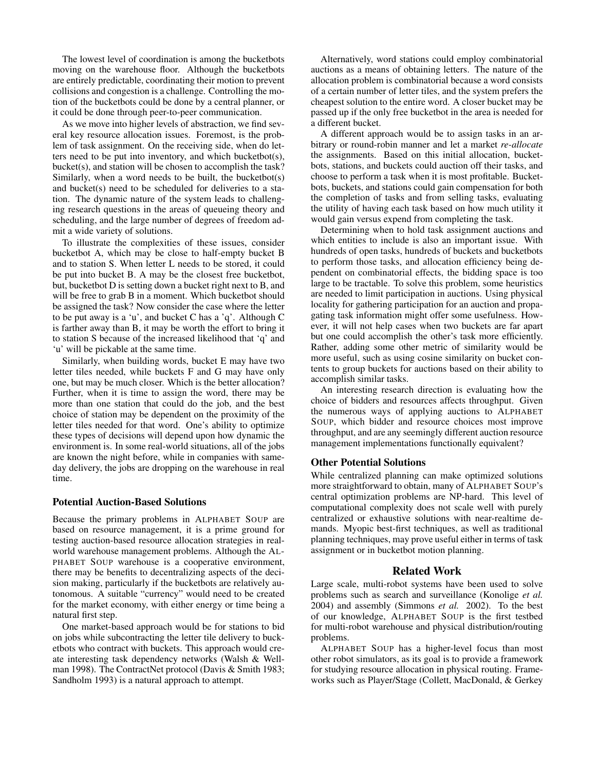The lowest level of coordination is among the bucketbots moving on the warehouse floor. Although the bucketbots are entirely predictable, coordinating their motion to prevent collisions and congestion is a challenge. Controlling the motion of the bucketbots could be done by a central planner, or it could be done through peer-to-peer communication.

As we move into higher levels of abstraction, we find several key resource allocation issues. Foremost, is the problem of task assignment. On the receiving side, when do letters need to be put into inventory, and which bucketbot(s), bucket(s), and station will be chosen to accomplish the task? Similarly, when a word needs to be built, the bucketbot(s) and bucket(s) need to be scheduled for deliveries to a station. The dynamic nature of the system leads to challenging research questions in the areas of queueing theory and scheduling, and the large number of degrees of freedom admit a wide variety of solutions.

To illustrate the complexities of these issues, consider bucketbot A, which may be close to half-empty bucket B and to station S. When letter L needs to be stored, it could be put into bucket B. A may be the closest free bucketbot, but, bucketbot D is setting down a bucket right next to B, and will be free to grab B in a moment. Which bucketbot should be assigned the task? Now consider the case where the letter to be put away is a 'u', and bucket C has a 'q'. Although C is farther away than B, it may be worth the effort to bring it to station S because of the increased likelihood that 'q' and 'u' will be pickable at the same time.

Similarly, when building words, bucket E may have two letter tiles needed, while buckets F and G may have only one, but may be much closer. Which is the better allocation? Further, when it is time to assign the word, there may be more than one station that could do the job, and the best choice of station may be dependent on the proximity of the letter tiles needed for that word. One's ability to optimize these types of decisions will depend upon how dynamic the environment is. In some real-world situations, all of the jobs are known the night before, while in companies with sameday delivery, the jobs are dropping on the warehouse in real time.

#### Potential Auction-Based Solutions

Because the primary problems in ALPHABET SOUP are based on resource management, it is a prime ground for testing auction-based resource allocation strategies in realworld warehouse management problems. Although the AL-PHABET SOUP warehouse is a cooperative environment, there may be benefits to decentralizing aspects of the decision making, particularly if the bucketbots are relatively autonomous. A suitable "currency" would need to be created for the market economy, with either energy or time being a natural first step.

One market-based approach would be for stations to bid on jobs while subcontracting the letter tile delivery to bucketbots who contract with buckets. This approach would create interesting task dependency networks (Walsh & Wellman 1998). The ContractNet protocol (Davis & Smith 1983; Sandholm 1993) is a natural approach to attempt.

Alternatively, word stations could employ combinatorial auctions as a means of obtaining letters. The nature of the allocation problem is combinatorial because a word consists of a certain number of letter tiles, and the system prefers the cheapest solution to the entire word. A closer bucket may be passed up if the only free bucketbot in the area is needed for a different bucket.

A different approach would be to assign tasks in an arbitrary or round-robin manner and let a market *re-allocate* the assignments. Based on this initial allocation, bucketbots, stations, and buckets could auction off their tasks, and choose to perform a task when it is most profitable. Bucketbots, buckets, and stations could gain compensation for both the completion of tasks and from selling tasks, evaluating the utility of having each task based on how much utility it would gain versus expend from completing the task.

Determining when to hold task assignment auctions and which entities to include is also an important issue. With hundreds of open tasks, hundreds of buckets and bucketbots to perform those tasks, and allocation efficiency being dependent on combinatorial effects, the bidding space is too large to be tractable. To solve this problem, some heuristics are needed to limit participation in auctions. Using physical locality for gathering participation for an auction and propagating task information might offer some usefulness. However, it will not help cases when two buckets are far apart but one could accomplish the other's task more efficiently. Rather, adding some other metric of similarity would be more useful, such as using cosine similarity on bucket contents to group buckets for auctions based on their ability to accomplish similar tasks.

An interesting research direction is evaluating how the choice of bidders and resources affects throughput. Given the numerous ways of applying auctions to ALPHABET SOUP, which bidder and resource choices most improve throughput, and are any seemingly different auction resource management implementations functionally equivalent?

#### Other Potential Solutions

While centralized planning can make optimized solutions more straightforward to obtain, many of ALPHABET SOUP's central optimization problems are NP-hard. This level of computational complexity does not scale well with purely centralized or exhaustive solutions with near-realtime demands. Myopic best-first techniques, as well as traditional planning techniques, may prove useful either in terms of task assignment or in bucketbot motion planning.

#### Related Work

Large scale, multi-robot systems have been used to solve problems such as search and surveillance (Konolige *et al.* 2004) and assembly (Simmons *et al.* 2002). To the best of our knowledge, ALPHABET SOUP is the first testbed for multi-robot warehouse and physical distribution/routing problems.

ALPHABET SOUP has a higher-level focus than most other robot simulators, as its goal is to provide a framework for studying resource allocation in physical routing. Frameworks such as Player/Stage (Collett, MacDonald, & Gerkey